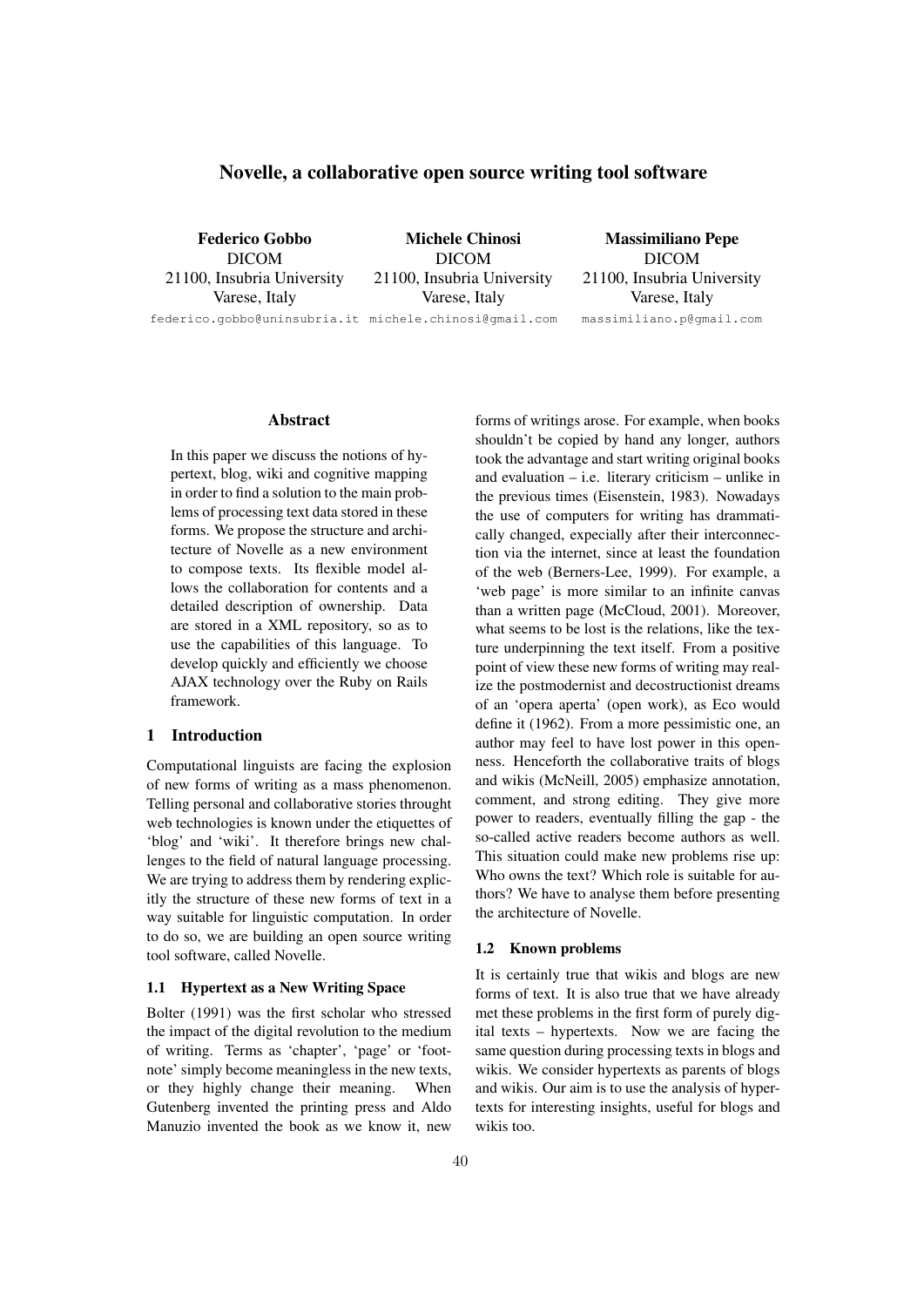# Novelle, a collaborative open source writing tool software

Federico Gobbo DICOM 21100, Insubria University Varese, Italy

Michele Chinosi DICOM 21100, Insubria University Varese, Italy

federico.gobbo@uninsubria.it michele.chinosi@gmail.com

Massimiliano Pepe DICOM 21100, Insubria University Varese, Italy massimiliano.p@gmail.com

## Abstract

In this paper we discuss the notions of hypertext, blog, wiki and cognitive mapping in order to find a solution to the main problems of processing text data stored in these forms. We propose the structure and architecture of Novelle as a new environment to compose texts. Its flexible model allows the collaboration for contents and a detailed description of ownership. Data are stored in a XML repository, so as to use the capabilities of this language. To develop quickly and efficiently we choose AJAX technology over the Ruby on Rails framework.

## 1 Introduction

Computational linguists are facing the explosion of new forms of writing as a mass phenomenon. Telling personal and collaborative stories throught web technologies is known under the etiquettes of 'blog' and 'wiki'. It therefore brings new challenges to the field of natural language processing. We are trying to address them by rendering explicitly the structure of these new forms of text in a way suitable for linguistic computation. In order to do so, we are building an open source writing tool software, called Novelle.

## 1.1 Hypertext as a New Writing Space

Bolter (1991) was the first scholar who stressed the impact of the digital revolution to the medium of writing. Terms as 'chapter', 'page' or 'footnote' simply become meaningless in the new texts, or they highly change their meaning. When Gutenberg invented the printing press and Aldo Manuzio invented the book as we know it, new forms of writings arose. For example, when books shouldn't be copied by hand any longer, authors took the advantage and start writing original books and evaluation – i.e. literary criticism – unlike in the previous times (Eisenstein, 1983). Nowadays the use of computers for writing has drammatically changed, expecially after their interconnection via the internet, since at least the foundation of the web (Berners-Lee, 1999). For example, a 'web page' is more similar to an infinite canvas than a written page (McCloud, 2001). Moreover, what seems to be lost is the relations, like the texture underpinning the text itself. From a positive point of view these new forms of writing may realize the postmodernist and decostructionist dreams of an 'opera aperta' (open work), as Eco would define it (1962). From a more pessimistic one, an author may feel to have lost power in this openness. Henceforth the collaborative traits of blogs and wikis (McNeill, 2005) emphasize annotation, comment, and strong editing. They give more power to readers, eventually filling the gap - the so-called active readers become authors as well. This situation could make new problems rise up: Who owns the text? Which role is suitable for authors? We have to analyse them before presenting the architecture of Novelle.

#### 1.2 Known problems

It is certainly true that wikis and blogs are new forms of text. It is also true that we have already met these problems in the first form of purely digital texts – hypertexts. Now we are facing the same question during processing texts in blogs and wikis. We consider hypertexts as parents of blogs and wikis. Our aim is to use the analysis of hypertexts for interesting insights, useful for blogs and wikis too.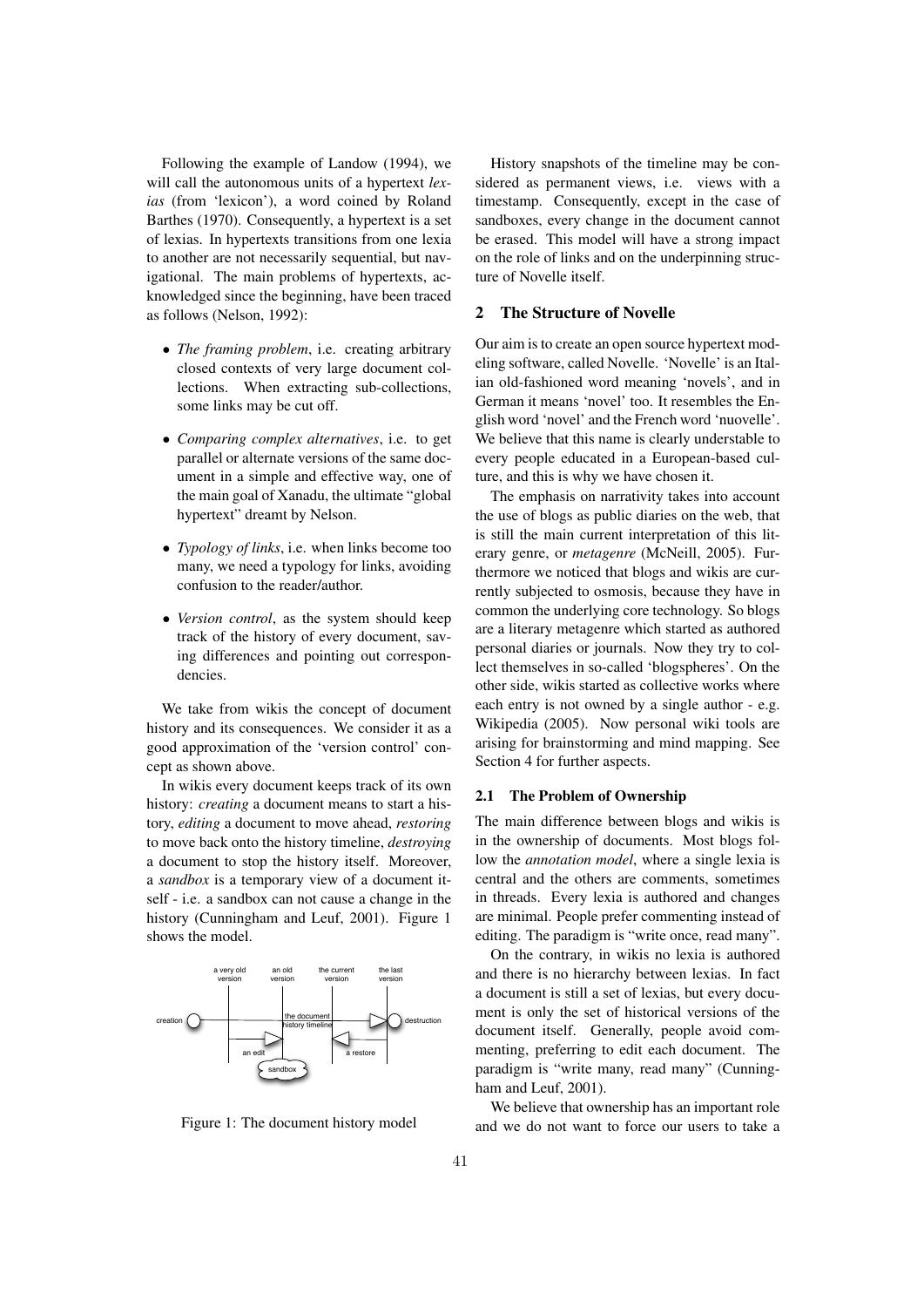Following the example of Landow (1994), we will call the autonomous units of a hypertext *lexias* (from 'lexicon'), a word coined by Roland Barthes (1970). Consequently, a hypertext is a set of lexias. In hypertexts transitions from one lexia to another are not necessarily sequential, but navigational. The main problems of hypertexts, acknowledged since the beginning, have been traced as follows (Nelson, 1992):

- *The framing problem*, i.e. creating arbitrary closed contexts of very large document collections. When extracting sub-collections, some links may be cut off.
- *Comparing complex alternatives*, i.e. to get parallel or alternate versions of the same document in a simple and effective way, one of the main goal of Xanadu, the ultimate "global hypertext" dreamt by Nelson.
- *Typology of links*, i.e. when links become too many, we need a typology for links, avoiding confusion to the reader/author.
- *Version control*, as the system should keep track of the history of every document, saving differences and pointing out correspondencies.

We take from wikis the concept of document history and its consequences. We consider it as a good approximation of the 'version control' concept as shown above.

In wikis every document keeps track of its own history: *creating* a document means to start a history, *editing* a document to move ahead, *restoring* to move back onto the history timeline, *destroying* a document to stop the history itself. Moreover, a *sandbox* is a temporary view of a document itself - i.e. a sandbox can not cause a change in the history (Cunningham and Leuf, 2001). Figure 1 shows the model.



Figure 1: The document history model

History snapshots of the timeline may be considered as permanent views, i.e. views with a timestamp. Consequently, except in the case of sandboxes, every change in the document cannot be erased. This model will have a strong impact on the role of links and on the underpinning structure of Novelle itself.

## 2 The Structure of Novelle

Our aim is to create an open source hypertext modeling software, called Novelle. 'Novelle' is an Italian old-fashioned word meaning 'novels', and in German it means 'novel' too. It resembles the English word 'novel' and the French word 'nuovelle'. We believe that this name is clearly understable to every people educated in a European-based culture, and this is why we have chosen it.

The emphasis on narrativity takes into account the use of blogs as public diaries on the web, that is still the main current interpretation of this literary genre, or *metagenre* (McNeill, 2005). Furthermore we noticed that blogs and wikis are currently subjected to osmosis, because they have in common the underlying core technology. So blogs are a literary metagenre which started as authored personal diaries or journals. Now they try to collect themselves in so-called 'blogspheres'. On the other side, wikis started as collective works where each entry is not owned by a single author - e.g. Wikipedia (2005). Now personal wiki tools are arising for brainstorming and mind mapping. See Section 4 for further aspects.

#### 2.1 The Problem of Ownership

The main difference between blogs and wikis is in the ownership of documents. Most blogs follow the *annotation model*, where a single lexia is central and the others are comments, sometimes in threads. Every lexia is authored and changes are minimal. People prefer commenting instead of editing. The paradigm is "write once, read many".

On the contrary, in wikis no lexia is authored and there is no hierarchy between lexias. In fact a document is still a set of lexias, but every document is only the set of historical versions of the document itself. Generally, people avoid commenting, preferring to edit each document. The paradigm is "write many, read many" (Cunningham and Leuf, 2001).

We believe that ownership has an important role and we do not want to force our users to take a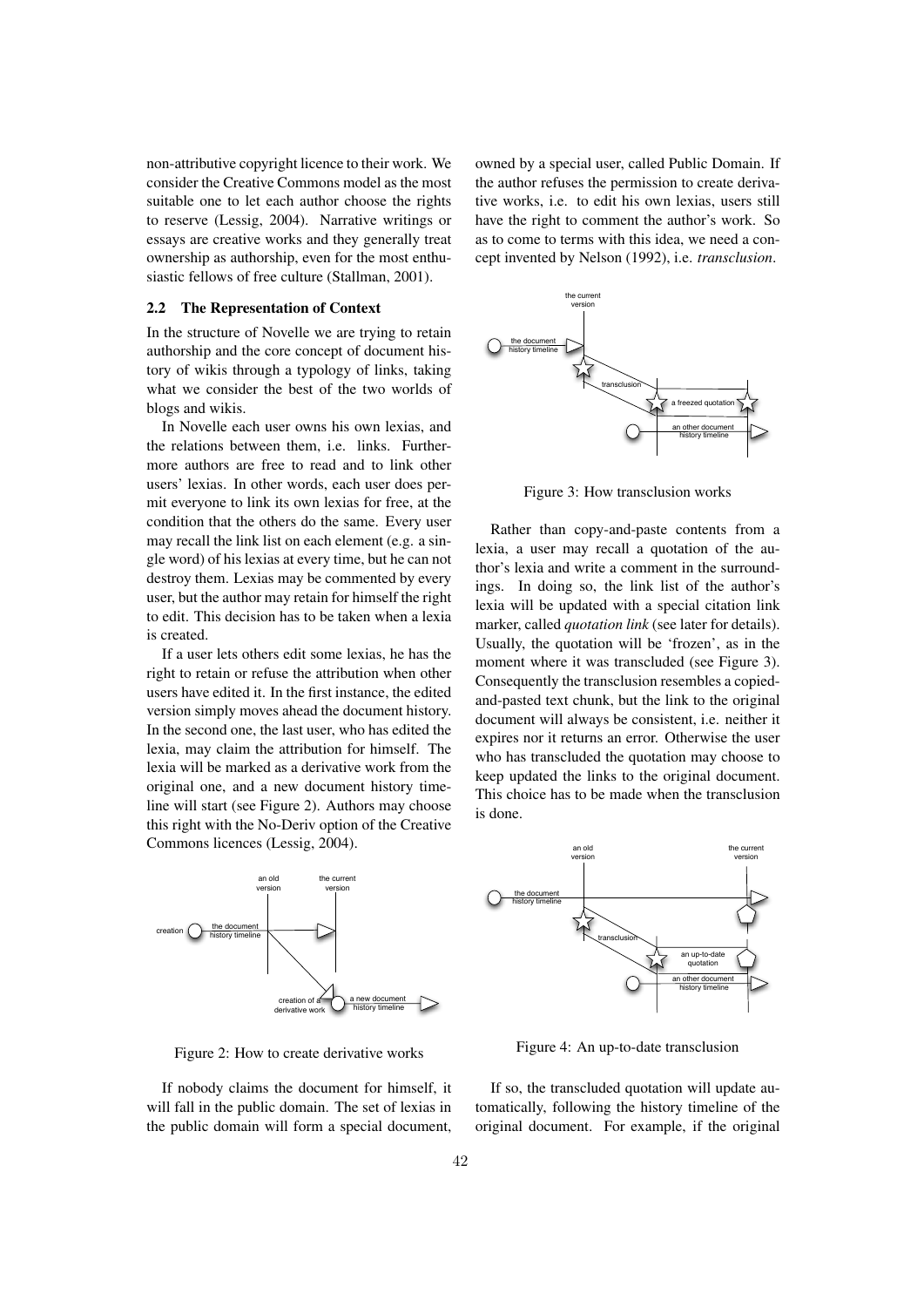non-attributive copyright licence to their work. We consider the Creative Commons model as the most suitable one to let each author choose the rights to reserve (Lessig, 2004). Narrative writings or essays are creative works and they generally treat ownership as authorship, even for the most enthusiastic fellows of free culture (Stallman, 2001).

#### 2.2 The Representation of Context

In the structure of Novelle we are trying to retain authorship and the core concept of document history of wikis through a typology of links, taking what we consider the best of the two worlds of blogs and wikis.

In Novelle each user owns his own lexias, and the relations between them, i.e. links. Furthermore authors are free to read and to link other users' lexias. In other words, each user does permit everyone to link its own lexias for free, at the condition that the others do the same. Every user may recall the link list on each element (e.g. a single word) of his lexias at every time, but he can not destroy them. Lexias may be commented by every user, but the author may retain for himself the right to edit. This decision has to be taken when a lexia is created.

If a user lets others edit some lexias, he has the right to retain or refuse the attribution when other users have edited it. In the first instance, the edited version simply moves ahead the document history. In the second one, the last user, who has edited the lexia, may claim the attribution for himself. The lexia will be marked as a derivative work from the original one, and a new document history timeline will start (see Figure 2). Authors may choose this right with the No-Deriv option of the Creative Commons licences (Lessig, 2004).



Figure 2: How to create derivative works

If nobody claims the document for himself, it will fall in the public domain. The set of lexias in the public domain will form a special document, owned by a special user, called Public Domain. If the author refuses the permission to create derivative works, i.e. to edit his own lexias, users still have the right to comment the author's work. So as to come to terms with this idea, we need a concept invented by Nelson (1992), i.e. *transclusion*.



Figure 3: How transclusion works

Rather than copy-and-paste contents from a lexia, a user may recall a quotation of the author's lexia and write a comment in the surroundings. In doing so, the link list of the author's lexia will be updated with a special citation link marker, called *quotation link* (see later for details). Usually, the quotation will be 'frozen', as in the moment where it was transcluded (see Figure 3). Consequently the transclusion resembles a copiedand-pasted text chunk, but the link to the original document will always be consistent, i.e. neither it expires nor it returns an error. Otherwise the user who has transcluded the quotation may choose to keep updated the links to the original document. This choice has to be made when the transclusion is done.



Figure 4: An up-to-date transclusion

If so, the transcluded quotation will update automatically, following the history timeline of the original document. For example, if the original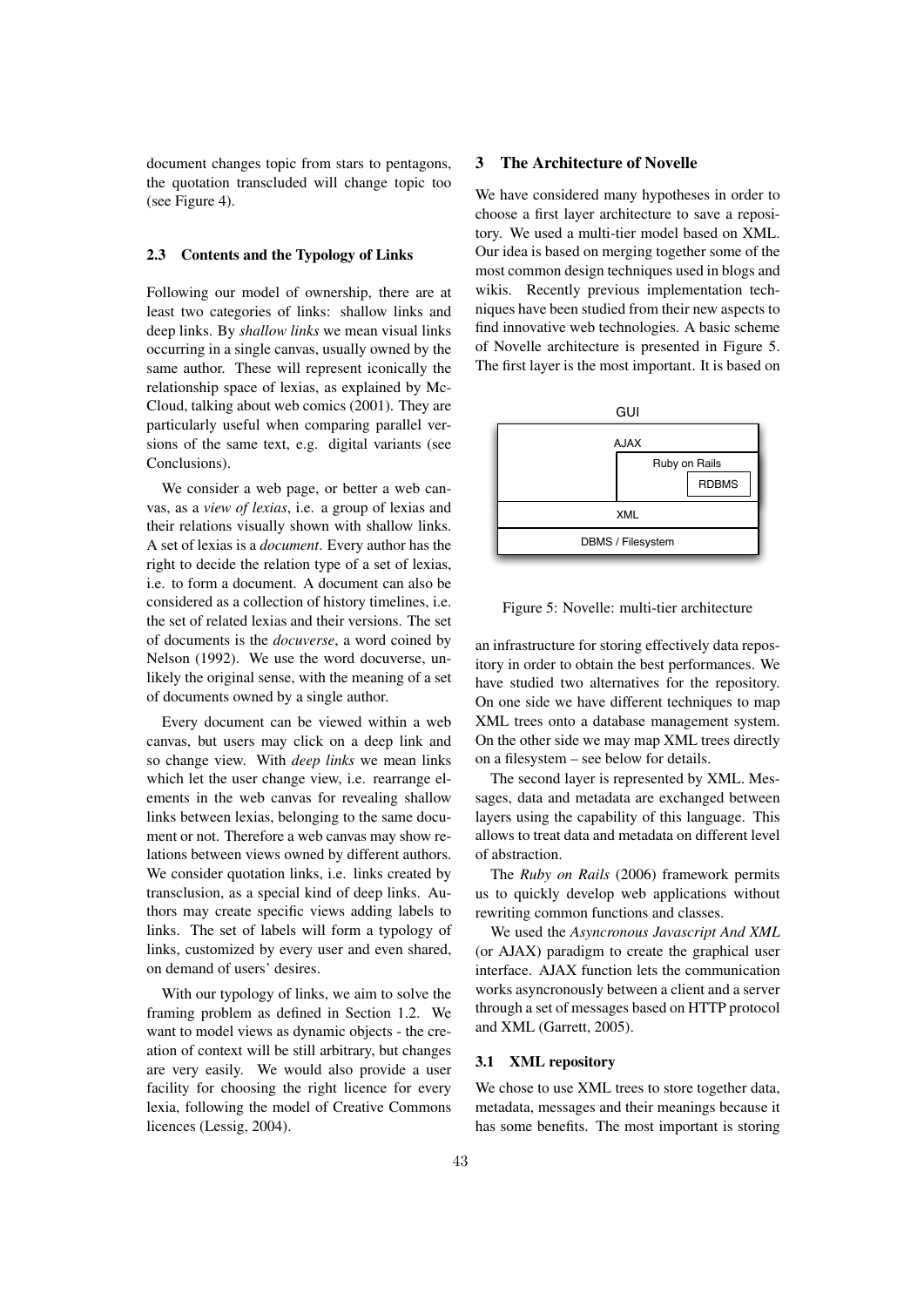document changes topic from stars to pentagons, the quotation transcluded will change topic too (see Figure 4).

#### 2.3 Contents and the Typology of Links

Following our model of ownership, there are at least two categories of links: shallow links and deep links. By *shallow links* we mean visual links occurring in a single canvas, usually owned by the same author. These will represent iconically the relationship space of lexias, as explained by Mc-Cloud, talking about web comics (2001). They are particularly useful when comparing parallel versions of the same text, e.g. digital variants (see Conclusions).

We consider a web page, or better a web canvas, as a *view of lexias*, i.e. a group of lexias and their relations visually shown with shallow links. A set of lexias is a *document*. Every author has the right to decide the relation type of a set of lexias, i.e. to form a document. A document can also be considered as a collection of history timelines, i.e. the set of related lexias and their versions. The set of documents is the *docuverse*, a word coined by Nelson (1992). We use the word docuverse, unlikely the original sense, with the meaning of a set of documents owned by a single author.

Every document can be viewed within a web canvas, but users may click on a deep link and so change view. With *deep links* we mean links which let the user change view, i.e. rearrange elements in the web canvas for revealing shallow links between lexias, belonging to the same document or not. Therefore a web canvas may show relations between views owned by different authors. We consider quotation links, i.e. links created by transclusion, as a special kind of deep links. Authors may create specific views adding labels to links. The set of labels will form a typology of links, customized by every user and even shared, on demand of users' desires.

With our typology of links, we aim to solve the framing problem as defined in Section 1.2. We want to model views as dynamic objects - the creation of context will be still arbitrary, but changes are very easily. We would also provide a user facility for choosing the right licence for every lexia, following the model of Creative Commons licences (Lessig, 2004).

## 3 The Architecture of Novelle

We have considered many hypotheses in order to choose a first layer architecture to save a repository. We used a multi-tier model based on XML. Our idea is based on merging together some of the most common design techniques used in blogs and wikis. Recently previous implementation techniques have been studied from their new aspects to find innovative web technologies. A basic scheme of Novelle architecture is presented in Figure 5. The first layer is the most important. It is based on



Figure 5: Novelle: multi-tier architecture

an infrastructure for storing effectively data repository in order to obtain the best performances. We have studied two alternatives for the repository. On one side we have different techniques to map XML trees onto a database management system. On the other side we may map XML trees directly on a filesystem – see below for details.

The second layer is represented by XML. Messages, data and metadata are exchanged between layers using the capability of this language. This allows to treat data and metadata on different level of abstraction.

The *Ruby on Rails* (2006) framework permits us to quickly develop web applications without rewriting common functions and classes.

We used the *Asyncronous Javascript And XML* (or AJAX) paradigm to create the graphical user interface. AJAX function lets the communication works asyncronously between a client and a server through a set of messages based on HTTP protocol and XML (Garrett, 2005).

#### 3.1 XML repository

We chose to use XML trees to store together data, metadata, messages and their meanings because it has some benefits. The most important is storing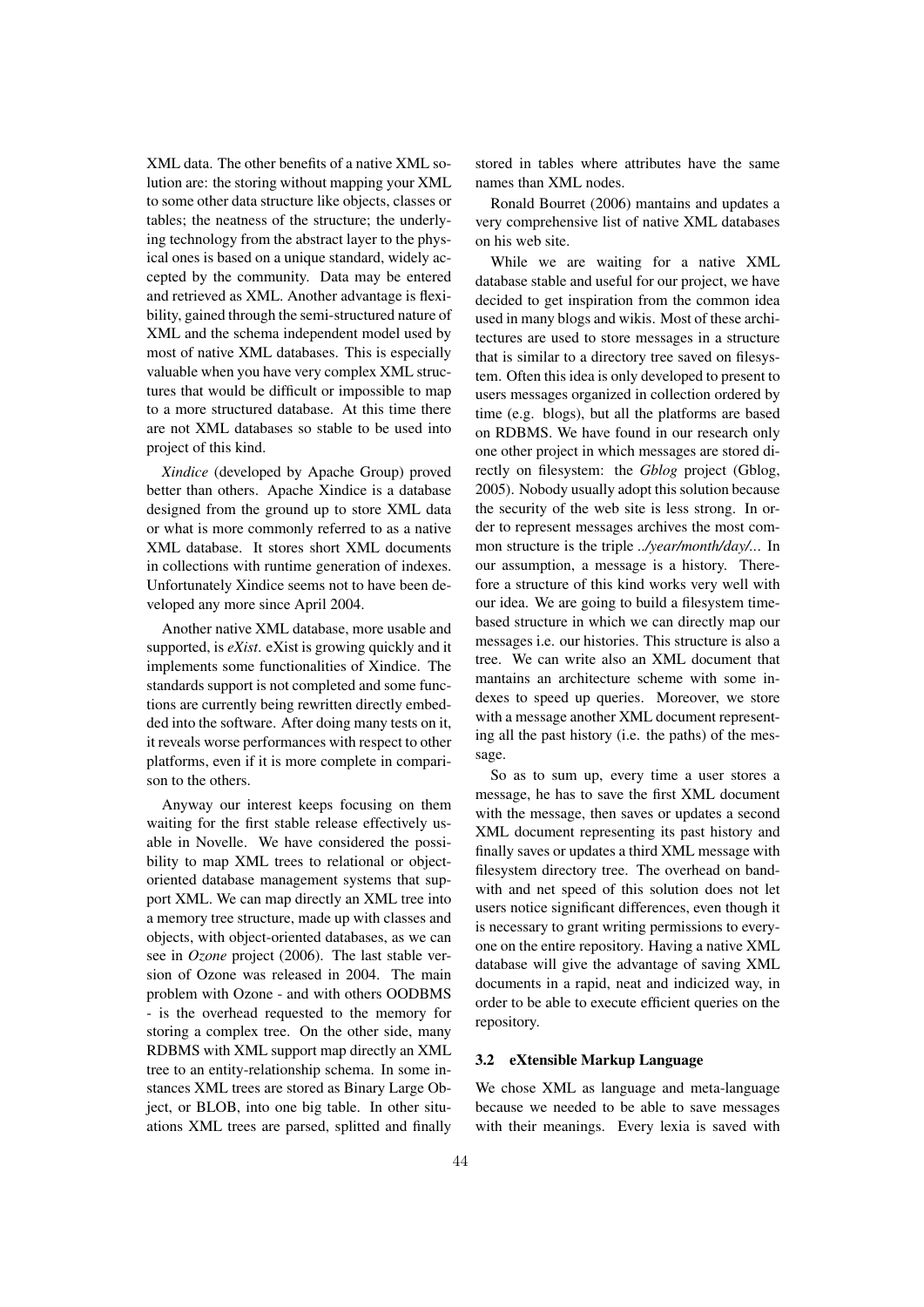XML data. The other benefits of a native XML solution are: the storing without mapping your XML to some other data structure like objects, classes or tables; the neatness of the structure; the underlying technology from the abstract layer to the physical ones is based on a unique standard, widely accepted by the community. Data may be entered and retrieved as XML. Another advantage is flexibility, gained through the semi-structured nature of XML and the schema independent model used by most of native XML databases. This is especially valuable when you have very complex XML structures that would be difficult or impossible to map to a more structured database. At this time there are not XML databases so stable to be used into project of this kind.

*Xindice* (developed by Apache Group) proved better than others. Apache Xindice is a database designed from the ground up to store XML data or what is more commonly referred to as a native XML database. It stores short XML documents in collections with runtime generation of indexes. Unfortunately Xindice seems not to have been developed any more since April 2004.

Another native XML database, more usable and supported, is *eXist*. eXist is growing quickly and it implements some functionalities of Xindice. The standards support is not completed and some functions are currently being rewritten directly embedded into the software. After doing many tests on it, it reveals worse performances with respect to other platforms, even if it is more complete in comparison to the others.

Anyway our interest keeps focusing on them waiting for the first stable release effectively usable in Novelle. We have considered the possibility to map XML trees to relational or objectoriented database management systems that support XML. We can map directly an XML tree into a memory tree structure, made up with classes and objects, with object-oriented databases, as we can see in *Ozone* project (2006). The last stable version of Ozone was released in 2004. The main problem with Ozone - and with others OODBMS - is the overhead requested to the memory for storing a complex tree. On the other side, many RDBMS with XML support map directly an XML tree to an entity-relationship schema. In some instances XML trees are stored as Binary Large Object, or BLOB, into one big table. In other situations XML trees are parsed, splitted and finally stored in tables where attributes have the same names than XML nodes.

Ronald Bourret (2006) mantains and updates a very comprehensive list of native XML databases on his web site.

While we are waiting for a native XML database stable and useful for our project, we have decided to get inspiration from the common idea used in many blogs and wikis. Most of these architectures are used to store messages in a structure that is similar to a directory tree saved on filesystem. Often this idea is only developed to present to users messages organized in collection ordered by time (e.g. blogs), but all the platforms are based on RDBMS. We have found in our research only one other project in which messages are stored directly on filesystem: the *Gblog* project (Gblog, 2005). Nobody usually adopt this solution because the security of the web site is less strong. In order to represent messages archives the most common structure is the triple *../year/month/day/..*. In our assumption, a message is a history. Therefore a structure of this kind works very well with our idea. We are going to build a filesystem timebased structure in which we can directly map our messages i.e. our histories. This structure is also a tree. We can write also an XML document that mantains an architecture scheme with some indexes to speed up queries. Moreover, we store with a message another XML document representing all the past history (i.e. the paths) of the message.

So as to sum up, every time a user stores a message, he has to save the first XML document with the message, then saves or updates a second XML document representing its past history and finally saves or updates a third XML message with filesystem directory tree. The overhead on bandwith and net speed of this solution does not let users notice significant differences, even though it is necessary to grant writing permissions to everyone on the entire repository. Having a native XML database will give the advantage of saving XML documents in a rapid, neat and indicized way, in order to be able to execute efficient queries on the repository.

#### 3.2 eXtensible Markup Language

We chose XML as language and meta-language because we needed to be able to save messages with their meanings. Every lexia is saved with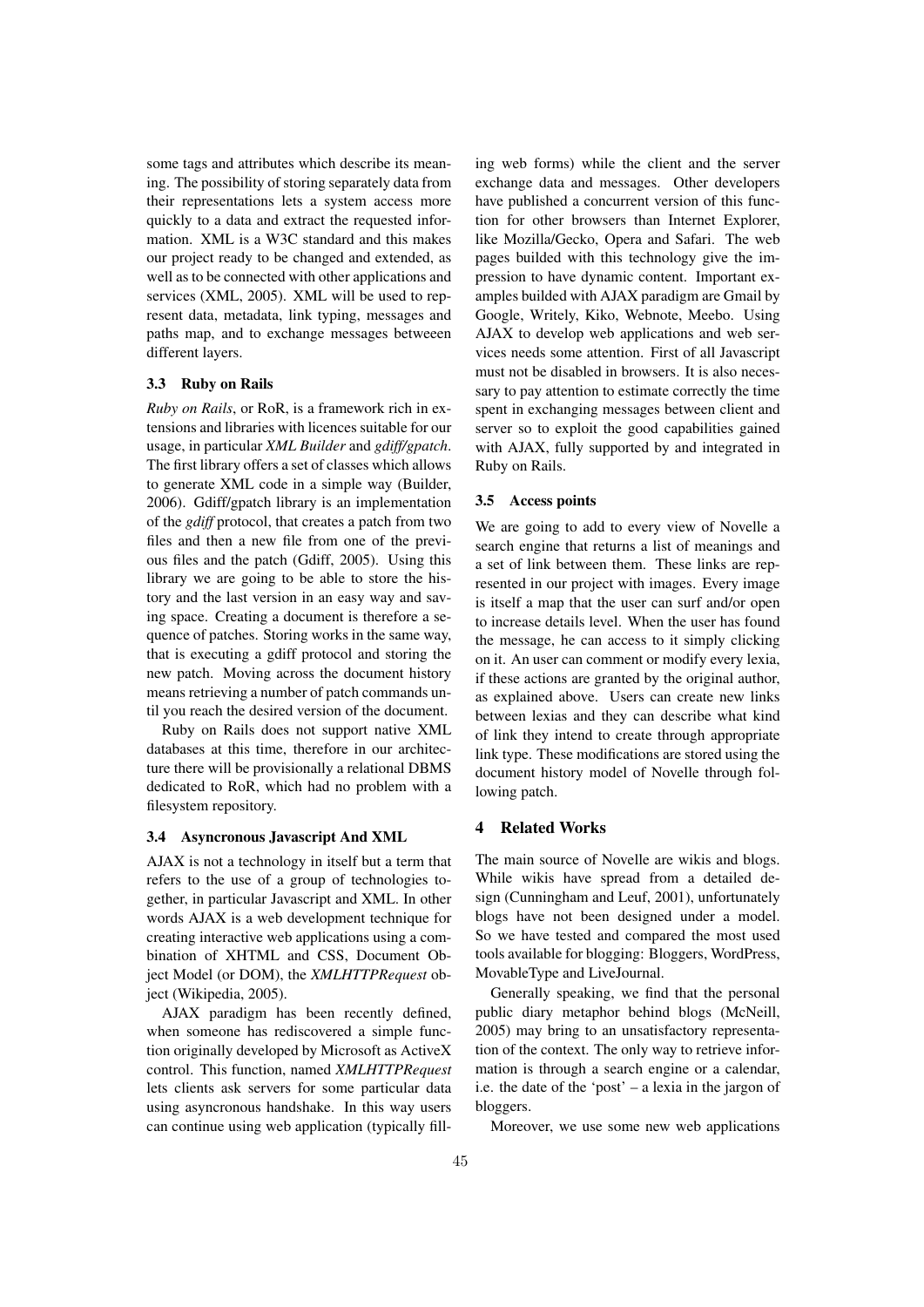some tags and attributes which describe its meaning. The possibility of storing separately data from their representations lets a system access more quickly to a data and extract the requested information. XML is a W3C standard and this makes our project ready to be changed and extended, as well as to be connected with other applications and services (XML, 2005). XML will be used to represent data, metadata, link typing, messages and paths map, and to exchange messages betweeen different layers.

## 3.3 Ruby on Rails

*Ruby on Rails*, or RoR, is a framework rich in extensions and libraries with licences suitable for our usage, in particular *XML Builder* and *gdiff/gpatch*. The first library offers a set of classes which allows to generate XML code in a simple way (Builder, 2006). Gdiff/gpatch library is an implementation of the *gdiff* protocol, that creates a patch from two files and then a new file from one of the previous files and the patch (Gdiff, 2005). Using this library we are going to be able to store the history and the last version in an easy way and saving space. Creating a document is therefore a sequence of patches. Storing works in the same way, that is executing a gdiff protocol and storing the new patch. Moving across the document history means retrieving a number of patch commands until you reach the desired version of the document.

Ruby on Rails does not support native XML databases at this time, therefore in our architecture there will be provisionally a relational DBMS dedicated to RoR, which had no problem with a filesystem repository.

## 3.4 Asyncronous Javascript And XML

AJAX is not a technology in itself but a term that refers to the use of a group of technologies together, in particular Javascript and XML. In other words AJAX is a web development technique for creating interactive web applications using a combination of XHTML and CSS, Document Object Model (or DOM), the *XMLHTTPRequest* object (Wikipedia, 2005).

AJAX paradigm has been recently defined, when someone has rediscovered a simple function originally developed by Microsoft as ActiveX control. This function, named *XMLHTTPRequest* lets clients ask servers for some particular data using asyncronous handshake. In this way users can continue using web application (typically filling web forms) while the client and the server exchange data and messages. Other developers have published a concurrent version of this function for other browsers than Internet Explorer, like Mozilla/Gecko, Opera and Safari. The web pages builded with this technology give the impression to have dynamic content. Important examples builded with AJAX paradigm are Gmail by Google, Writely, Kiko, Webnote, Meebo. Using AJAX to develop web applications and web services needs some attention. First of all Javascript must not be disabled in browsers. It is also necessary to pay attention to estimate correctly the time spent in exchanging messages between client and server so to exploit the good capabilities gained with AJAX, fully supported by and integrated in Ruby on Rails.

## 3.5 Access points

We are going to add to every view of Novelle a search engine that returns a list of meanings and a set of link between them. These links are represented in our project with images. Every image is itself a map that the user can surf and/or open to increase details level. When the user has found the message, he can access to it simply clicking on it. An user can comment or modify every lexia, if these actions are granted by the original author, as explained above. Users can create new links between lexias and they can describe what kind of link they intend to create through appropriate link type. These modifications are stored using the document history model of Novelle through following patch.

## 4 Related Works

The main source of Novelle are wikis and blogs. While wikis have spread from a detailed design (Cunningham and Leuf, 2001), unfortunately blogs have not been designed under a model. So we have tested and compared the most used tools available for blogging: Bloggers, WordPress, MovableType and LiveJournal.

Generally speaking, we find that the personal public diary metaphor behind blogs (McNeill, 2005) may bring to an unsatisfactory representation of the context. The only way to retrieve information is through a search engine or a calendar, i.e. the date of the 'post' – a lexia in the jargon of bloggers.

Moreover, we use some new web applications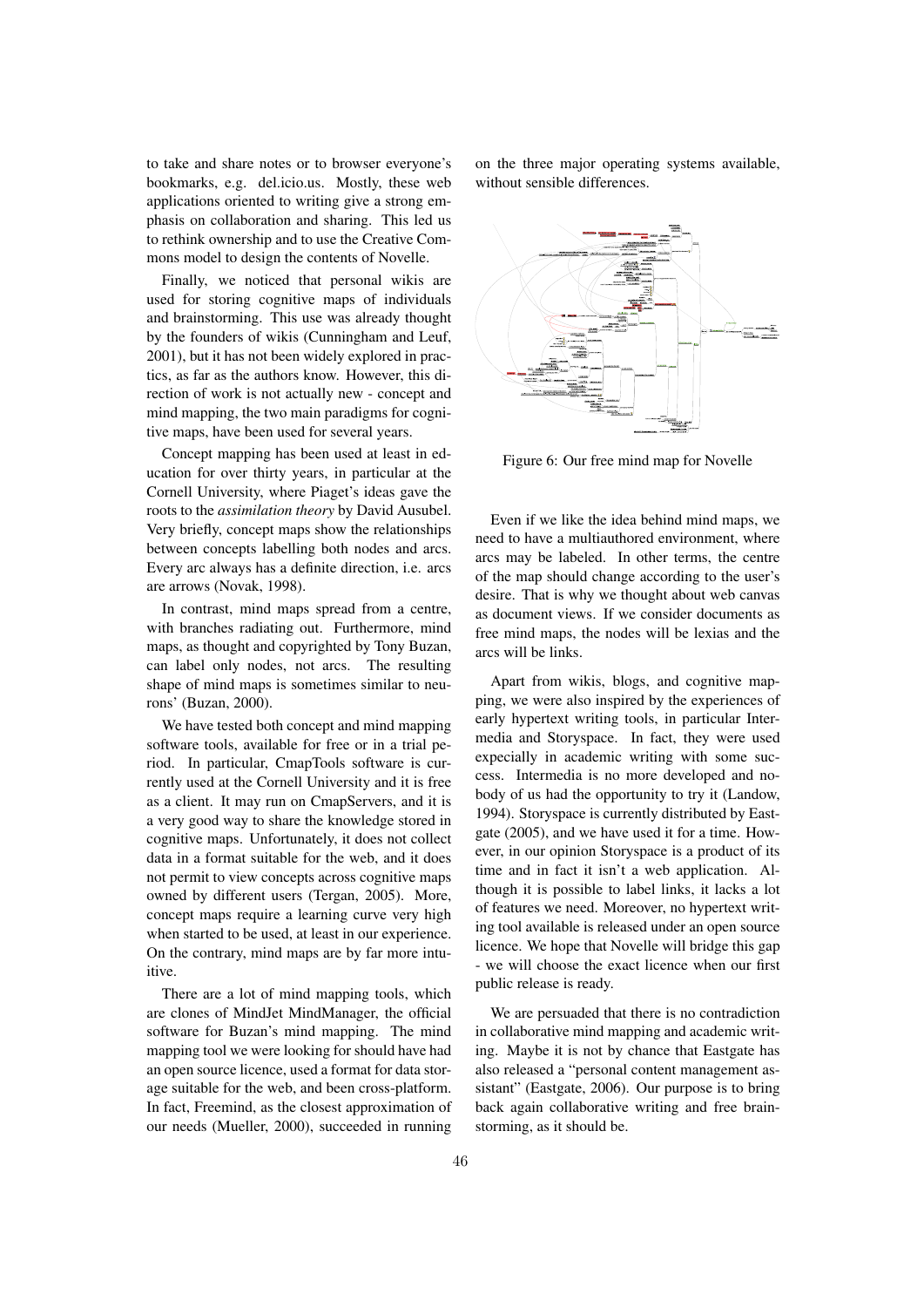to take and share notes or to browser everyone's bookmarks, e.g. del.icio.us. Mostly, these web applications oriented to writing give a strong emphasis on collaboration and sharing. This led us to rethink ownership and to use the Creative Commons model to design the contents of Novelle.

Finally, we noticed that personal wikis are used for storing cognitive maps of individuals and brainstorming. This use was already thought by the founders of wikis (Cunningham and Leuf, 2001), but it has not been widely explored in practics, as far as the authors know. However, this direction of work is not actually new - concept and mind mapping, the two main paradigms for cognitive maps, have been used for several years.

Concept mapping has been used at least in education for over thirty years, in particular at the Cornell University, where Piaget's ideas gave the roots to the *assimilation theory* by David Ausubel. Very briefly, concept maps show the relationships between concepts labelling both nodes and arcs. Every arc always has a definite direction, i.e. arcs are arrows (Novak, 1998).

In contrast, mind maps spread from a centre, with branches radiating out. Furthermore, mind maps, as thought and copyrighted by Tony Buzan, can label only nodes, not arcs. The resulting shape of mind maps is sometimes similar to neurons' (Buzan, 2000).

We have tested both concept and mind mapping software tools, available for free or in a trial period. In particular, CmapTools software is currently used at the Cornell University and it is free as a client. It may run on CmapServers, and it is a very good way to share the knowledge stored in cognitive maps. Unfortunately, it does not collect data in a format suitable for the web, and it does not permit to view concepts across cognitive maps owned by different users (Tergan, 2005). More, concept maps require a learning curve very high when started to be used, at least in our experience. On the contrary, mind maps are by far more intuitive.

There are a lot of mind mapping tools, which are clones of MindJet MindManager, the official software for Buzan's mind mapping. The mind mapping tool we were looking for should have had an open source licence, used a format for data storage suitable for the web, and been cross-platform. In fact, Freemind, as the closest approximation of our needs (Mueller, 2000), succeeded in running on the three major operating systems available, without sensible differences.



Figure 6: Our free mind map for Novelle

Even if we like the idea behind mind maps, we need to have a multiauthored environment, where arcs may be labeled. In other terms, the centre of the map should change according to the user's desire. That is why we thought about web canvas as document views. If we consider documents as free mind maps, the nodes will be lexias and the arcs will be links.

Apart from wikis, blogs, and cognitive mapping, we were also inspired by the experiences of early hypertext writing tools, in particular Intermedia and Storyspace. In fact, they were used expecially in academic writing with some success. Intermedia is no more developed and nobody of us had the opportunity to try it (Landow, 1994). Storyspace is currently distributed by Eastgate (2005), and we have used it for a time. However, in our opinion Storyspace is a product of its time and in fact it isn't a web application. Although it is possible to label links, it lacks a lot of features we need. Moreover, no hypertext writing tool available is released under an open source licence. We hope that Novelle will bridge this gap - we will choose the exact licence when our first public release is ready.

We are persuaded that there is no contradiction in collaborative mind mapping and academic writing. Maybe it is not by chance that Eastgate has also released a "personal content management assistant" (Eastgate, 2006). Our purpose is to bring back again collaborative writing and free brainstorming, as it should be.